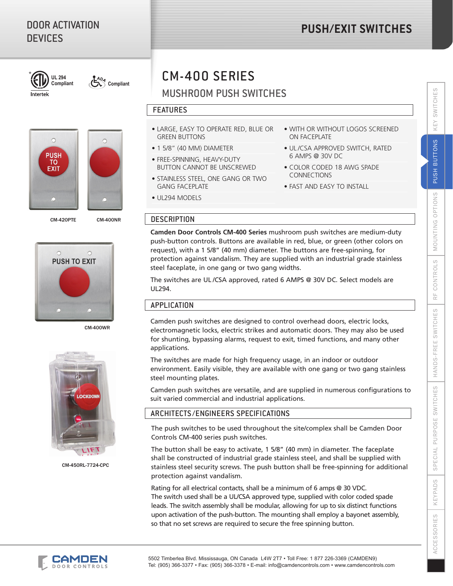# DOOR ACTIVATION DEVICES

# **PUSH/EXIT SWITCHES**



**Compliant Compliant**









CM-400WR



CM-450RL-7724-CPC

# CM-400 SERIES

# MUSHROOM PUSH SWITCHES

### FEATURES

- LARGE, EASY TO OPERATE RED, BLUE OR GREEN BUTTONS
- 1 5/8" (40 MM) DIAMETER
- FREE-SPINNING, HEAVY-DUTY BUTTON CANNOT BE UNSCREWED
- STAINLESS STEEL, ONE GANG OR TWO GANG FACEPLATE
- UL294 MODELS
- WITH OR WITHOUT LOGOS SCREENED ON FACEPLATE
- UL /CSA APPROVED SWITCH, RATED 6 AMPS @ 30V DC
- COLOR CODED 18 AWG SPADE CONNECTIONS
- FAST AND EASY TO INSTALL

# CM-420PTE CM-400NR DESCRIPTION

**Camden Door Controls CM-400 Series** mushroom push switches are medium-duty push-button controls. Buttons are available in red, blue, or green (other colors on request), with a 1 5/8" (40 mm) diameter. The buttons are free-spinning, for protection against vandalism. They are supplied with an industrial grade stainless steel faceplate, in one gang or two gang widths.

The switches are UL /CSA approved, rated 6 AMPS @ 30V DC. Select models are UL294.

# **APPLICATION**

Camden push switches are designed to control overhead doors, electric locks, electromagnetic locks, electric strikes and automatic doors. They may also be used for shunting, bypassing alarms, request to exit, timed functions, and many other applications.

The switches are made for high frequency usage, in an indoor or outdoor environment. Easily visible, they are available with one gang or two gang stainless steel mounting plates.

Camden push switches are versatile, and are supplied in numerous configurations to suit varied commercial and industrial applications.

# ARCHITECTS /ENGINEERS SPECIFICATIONS

The push switches to be used throughout the site/complex shall be Camden Door Controls CM-400 series push switches.

The button shall be easy to activate, 1 5/8" (40 mm) in diameter. The faceplate shall be constructed of industrial grade stainless steel, and shall be supplied with stainless steel security screws. The push button shall be free-spinning for additional protection against vandalism.

Rating for all electrical contacts, shall be a minimum of 6 amps @ 30 VDC. The switch used shall be a UL/CSA approved type, supplied with color coded spade leads. The switch assembly shall be modular, allowing for up to six distinct functions upon activation of the push-button. The mounting shall employ a bayonet assembly, so that no set screws are required to secure the free spinning button.